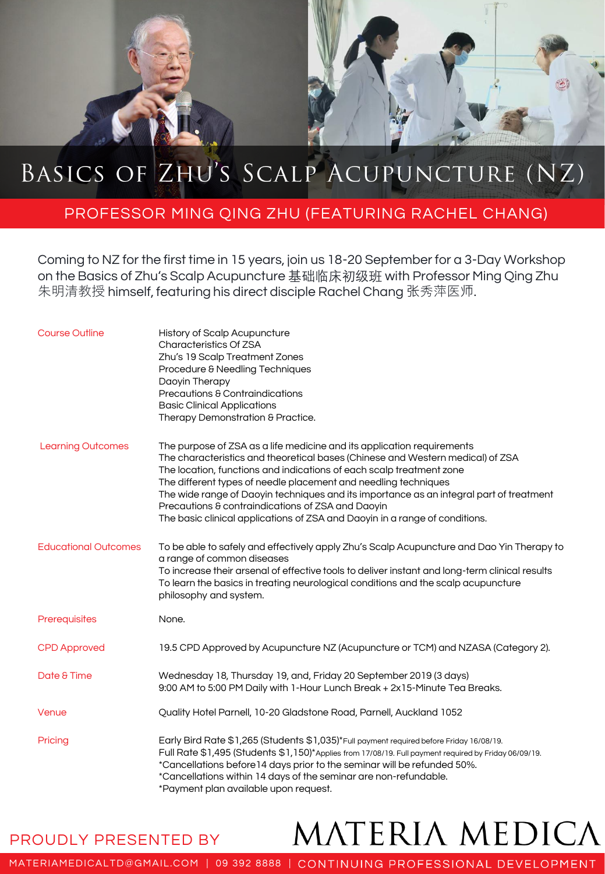## BASICS OF ZHU'S SCALP ACUPUNCTURE (NZ)

## PROFESSOR MING QING ZHU (FEATURING RACHEL CHANG)

Coming to NZ for the first time in 15 years, join us 18-20 September for a 3-Day Workshop on the Basics of Zhu's Scalp Acupuncture 基础临床初级班 with Professor Ming Qing Zhu 朱明清教授 himself, featuring his direct disciple Rachel Chang 张秀萍医师.

| <b>Course Outline</b>       | <b>History of Scalp Acupuncture</b><br>Characteristics Of ZSA<br>Zhu's 19 Scalp Treatment Zones<br>Procedure & Needling Techniques<br>Daoyin Therapy<br>Precautions & Contraindications<br><b>Basic Clinical Applications</b><br>Therapy Demonstration & Practice.                                                                                                                                                                                                                                                                 |
|-----------------------------|------------------------------------------------------------------------------------------------------------------------------------------------------------------------------------------------------------------------------------------------------------------------------------------------------------------------------------------------------------------------------------------------------------------------------------------------------------------------------------------------------------------------------------|
| <b>Learning Outcomes</b>    | The purpose of ZSA as a life medicine and its application requirements<br>The characteristics and theoretical bases (Chinese and Western medical) of ZSA<br>The location, functions and indications of each scalp treatment zone<br>The different types of needle placement and needling techniques<br>The wide range of Daoyin techniques and its importance as an integral part of treatment<br>Precautions & contraindications of ZSA and Daoyin<br>The basic clinical applications of ZSA and Daoyin in a range of conditions. |
| <b>Educational Outcomes</b> | To be able to safely and effectively apply Zhu's Scalp Acupuncture and Dao Yin Therapy to<br>a range of common diseases<br>To increase their arsenal of effective tools to deliver instant and long-term clinical results<br>To learn the basics in treating neurological conditions and the scalp acupuncture<br>philosophy and system.                                                                                                                                                                                           |
| Prerequisites               | None.                                                                                                                                                                                                                                                                                                                                                                                                                                                                                                                              |
| <b>CPD Approved</b>         | 19.5 CPD Approved by Acupuncture NZ (Acupuncture or TCM) and NZASA (Category 2).                                                                                                                                                                                                                                                                                                                                                                                                                                                   |
| Date & Time                 | Wednesday 18, Thursday 19, and, Friday 20 September 2019 (3 days)<br>9:00 AM to 5:00 PM Daily with 1-Hour Lunch Break + 2x15-Minute Tea Breaks.                                                                                                                                                                                                                                                                                                                                                                                    |
| Venue                       | Quality Hotel Parnell, 10-20 Gladstone Road, Parnell, Auckland 1052                                                                                                                                                                                                                                                                                                                                                                                                                                                                |
| Pricing                     | Early Bird Rate \$1,265 (Students \$1,035)*Full payment required before Friday 16/08/19.<br>Full Rate \$1,495 (Students \$1,150)*Applies from 17/08/19. Full payment required by Friday 06/09/19.<br>*Cancellations before 14 days prior to the seminar will be refunded 50%.<br>*Cancellations within 14 days of the seminar are non-refundable.<br>*Payment plan available upon request.                                                                                                                                         |

PROUDLY PRESENTED BY

## MATERIA MEDICA

MATERIAMEDICALTD@GMAIL.COM | 09 392 8888 | CONTINUING PROFESSIONAL DEVELOPMENT